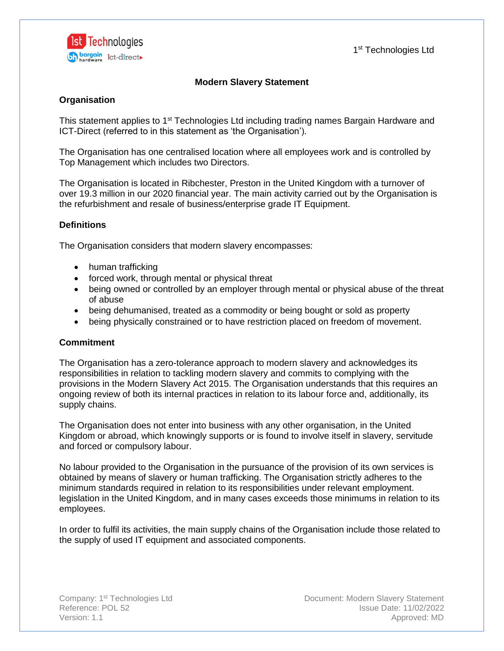

1<sup>st</sup> Technologies Ltd

# **Modern Slavery Statement**

# **Organisation**

This statement applies to 1<sup>st</sup> Technologies Ltd including trading names Bargain Hardware and ICT-Direct (referred to in this statement as 'the Organisation').

The Organisation has one centralised location where all employees work and is controlled by Top Management which includes two Directors.

The Organisation is located in Ribchester, Preston in the United Kingdom with a turnover of over 19.3 million in our 2020 financial year. The main activity carried out by the Organisation is the refurbishment and resale of business/enterprise grade IT Equipment.

## **Definitions**

The Organisation considers that modern slavery encompasses:

- human trafficking
- forced work, through mental or physical threat
- being owned or controlled by an employer through mental or physical abuse of the threat of abuse
- being dehumanised, treated as a commodity or being bought or sold as property
- being physically constrained or to have restriction placed on freedom of movement.

### **Commitment**

The Organisation has a zero-tolerance approach to modern slavery and acknowledges its responsibilities in relation to tackling modern slavery and commits to complying with the provisions in the Modern Slavery Act 2015. The Organisation understands that this requires an ongoing review of both its internal practices in relation to its labour force and, additionally, its supply chains.

The Organisation does not enter into business with any other organisation, in the United Kingdom or abroad, which knowingly supports or is found to involve itself in slavery, servitude and forced or compulsory labour.

No labour provided to the Organisation in the pursuance of the provision of its own services is obtained by means of slavery or human trafficking. The Organisation strictly adheres to the minimum standards required in relation to its responsibilities under relevant employment. legislation in the United Kingdom, and in many cases exceeds those minimums in relation to its employees.

In order to fulfil its activities, the main supply chains of the Organisation include those related to the supply of used IT equipment and associated components.